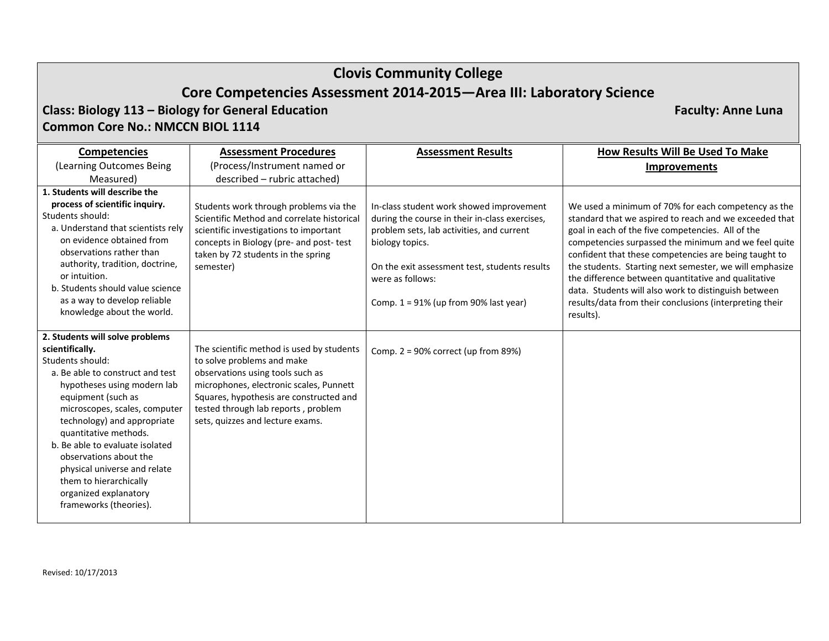**Class: Biology 113 – Biology for General Education Faculty: Anne Luna Common Core No.: NMCCN BIOL 1114**

**Competencies** (Learning Outcomes Being Measured) **Assessment Procedures**(Process/Instrument named or described – rubric attached) **Assessment Results How Results Will Be Used To Make Improvements 1. Students will describe the process of scientific inquiry.** Students should: a. Understand that scientists rely on evidence obtained fromobservations rather thanauthority, tradition, doctrine, or intuition. b. Students should value science as a way to develop reliable knowledge about the world. Students work through problems via the Scientific Method and correlate historical scientific investigations to important concepts in Biology (pre‐ and post‐ test taken by 72 students in the spring semester) In‐class student work showed improvement during the course in their in‐class exercises, problem sets, lab activities, and current biology topics. On the exit assessment test, students results were as follows: Comp. 1 <sup>=</sup> 91% (up from 90% last year) We used <sup>a</sup> minimum of 70% for each competency as the standard that we aspired to reach and we exceeded that goal in each of the five competencies. All of the competencies surpassed the minimum and we feel quite confident that these competencies are being taught to the students. Starting next semester, we will emphasize the difference between quantitative and qualitative data. Students will also work to distinguish between results/data from their conclusions (interpreting their results). **2. Students will solve problems scientifically.** Students should: a. Be able to construct and test hypotheses using modern lab equipment (such as microscopes, scales, computer technology) and appropriate quantitative methods. b. Be able to evaluate isolated observations about thephysical universe and relate them to hierarchically organized explanatory frameworks (theories). The scientific method is used by students to solve problems and make observations using tools such as microphones, electronic scales, Punnett Squares, hypothesis are constructed and tested through lab reports , problem sets, quizzes and lecture exams. Comp. 2 <sup>=</sup> 90% correct (up from 89%)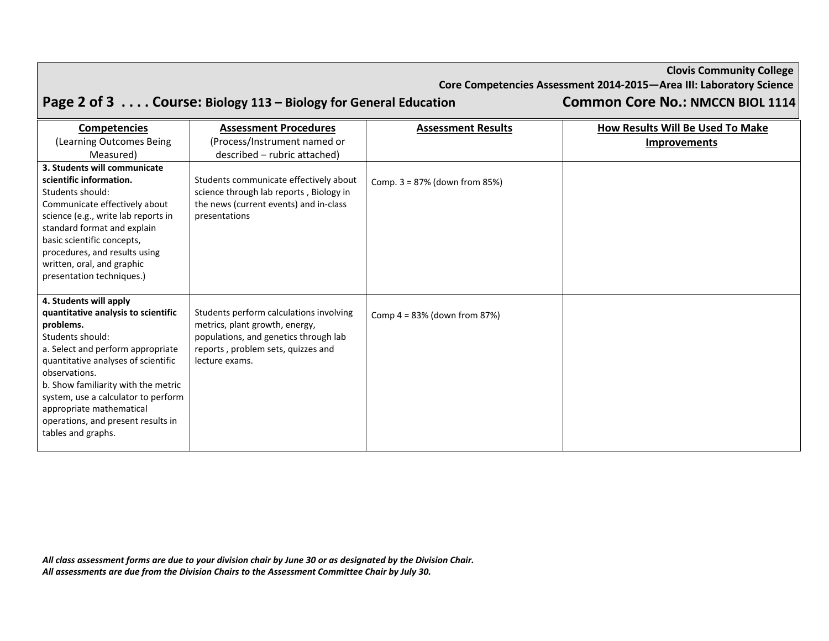|  | <b>Clovis Community College</b> |  |  |
|--|---------------------------------|--|--|
|--|---------------------------------|--|--|

**Core Competencies Assessment 2014‐2015—Area III: Laboratory Science**

Page 2 of 3 . . . . Course: Biology 113 - Biology for General Education Common Core No.: NMCCN BIOL 1114

| <b>Competencies</b>                                                                                                                                                                                                                                                                                                                                               | <b>Assessment Procedures</b>                                                                                                                                               | <b>Assessment Results</b>       | How Results Will Be Used To Make |
|-------------------------------------------------------------------------------------------------------------------------------------------------------------------------------------------------------------------------------------------------------------------------------------------------------------------------------------------------------------------|----------------------------------------------------------------------------------------------------------------------------------------------------------------------------|---------------------------------|----------------------------------|
| (Learning Outcomes Being                                                                                                                                                                                                                                                                                                                                          | (Process/Instrument named or                                                                                                                                               |                                 | <b>Improvements</b>              |
| Measured)                                                                                                                                                                                                                                                                                                                                                         | described - rubric attached)                                                                                                                                               |                                 |                                  |
| 3. Students will communicate                                                                                                                                                                                                                                                                                                                                      |                                                                                                                                                                            |                                 |                                  |
| scientific information.<br>Students should:<br>Communicate effectively about<br>science (e.g., write lab reports in<br>standard format and explain<br>basic scientific concepts,<br>procedures, and results using<br>written, oral, and graphic<br>presentation techniques.)                                                                                      | Students communicate effectively about<br>science through lab reports, Biology in<br>the news (current events) and in-class<br>presentations                               | Comp. $3 = 87%$ (down from 85%) |                                  |
| 4. Students will apply<br>quantitative analysis to scientific<br>problems.<br>Students should:<br>a. Select and perform appropriate<br>quantitative analyses of scientific<br>observations.<br>b. Show familiarity with the metric<br>system, use a calculator to perform<br>appropriate mathematical<br>operations, and present results in<br>tables and graphs. | Students perform calculations involving<br>metrics, plant growth, energy,<br>populations, and genetics through lab<br>reports, problem sets, quizzes and<br>lecture exams. | Comp $4 = 83\%$ (down from 87%) |                                  |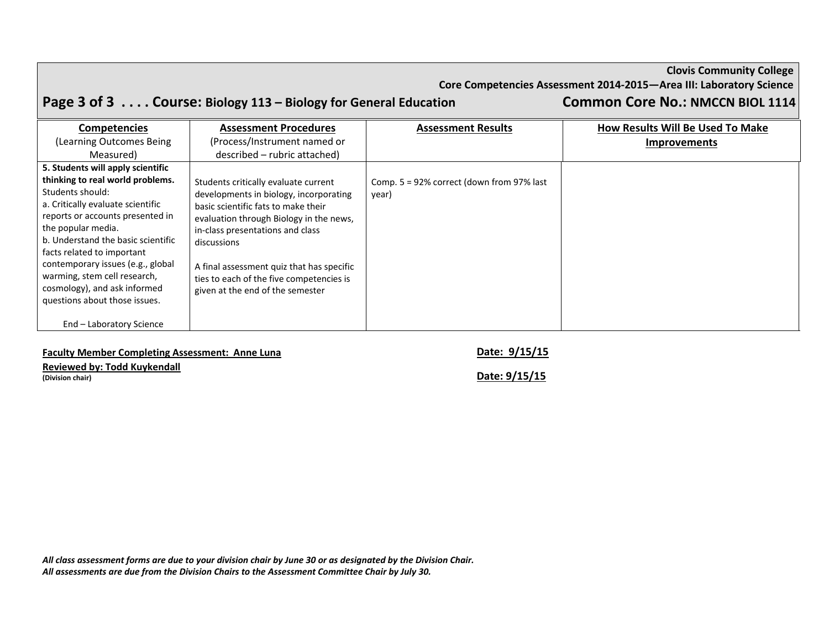|  | <b>Clovis Community College</b> |  |
|--|---------------------------------|--|
|--|---------------------------------|--|

**Core Competencies Assessment 2014‐2015—Area III: Laboratory Science**

Page 3 of 3 . . . . Course: Biology 113 - Biology for General Education Common Core No.: NMCCN BIOL 1114

| <b>Competencies</b>                                                                                                                                                                                                                                                                                                                                           | <b>Assessment Procedures</b>                                                                                                                                                                                                                                                                                                                     | <b>Assessment Results</b>                             | <b>How Results Will Be Used To Make</b> |
|---------------------------------------------------------------------------------------------------------------------------------------------------------------------------------------------------------------------------------------------------------------------------------------------------------------------------------------------------------------|--------------------------------------------------------------------------------------------------------------------------------------------------------------------------------------------------------------------------------------------------------------------------------------------------------------------------------------------------|-------------------------------------------------------|-----------------------------------------|
| (Learning Outcomes Being                                                                                                                                                                                                                                                                                                                                      | (Process/Instrument named or                                                                                                                                                                                                                                                                                                                     |                                                       | <b>Improvements</b>                     |
| Measured)                                                                                                                                                                                                                                                                                                                                                     | described – rubric attached)                                                                                                                                                                                                                                                                                                                     |                                                       |                                         |
| 5. Students will apply scientific                                                                                                                                                                                                                                                                                                                             |                                                                                                                                                                                                                                                                                                                                                  |                                                       |                                         |
| thinking to real world problems.<br>Students should:<br>a. Critically evaluate scientific<br>reports or accounts presented in<br>the popular media.<br>b. Understand the basic scientific<br>facts related to important<br>contemporary issues (e.g., global<br>warming, stem cell research,<br>cosmology), and ask informed<br>questions about those issues. | Students critically evaluate current<br>developments in biology, incorporating<br>basic scientific fats to make their<br>evaluation through Biology in the news,<br>in-class presentations and class<br>discussions<br>A final assessment quiz that has specific<br>ties to each of the five competencies is<br>given at the end of the semester | Comp. $5 = 92\%$ correct (down from 97% last<br>year) |                                         |
| End - Laboratory Science                                                                                                                                                                                                                                                                                                                                      |                                                                                                                                                                                                                                                                                                                                                  |                                                       |                                         |

**Faculty Member Completing Assessment: Anne Luna Date: 9/15/15**

**Reviewed by: Todd Kuykendall**

**(Division chair) Date: 9/15/15**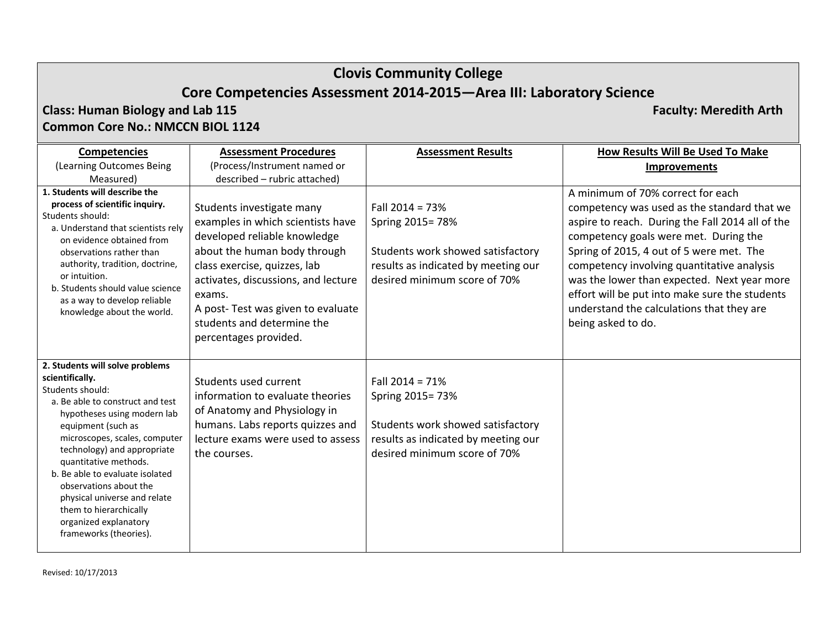**Biology and Lab 115 Faculty: Meredith Arth**

### **Class: HumanCommon Core No.: NMCCN BIOL 1124**

**Competencies** (Learning Outcomes Being Measured) **Assessment Procedures**(Process/Instrument named or described – rubric attached) **Assessment Results How Results Will Be Used To Make Improvements 1. Students will describe the process of scientific inquiry.** Students should: a. Understand that scientists rely on evidence obtained fromobservations rather thanauthority, tradition, doctrine, or intuition. b. Students should value science as a way to develop reliable knowledge about the world. Students investigate many examples in which scientists have developed reliable knowledge about the human body through class exercise, quizzes, lab activates, discussions, and lecture exams.A post‐ Test was given to evaluate students and determine the percentages provided. Fall 2014 <sup>=</sup> 73%Spring 2015= 78% Students work showed satisfactory results as indicated by meeting our desired minimum score of 70% A minimum of 70% correct for each competency was used as the standard that we aspire to reach. During the Fall 2014 all of the competency goals were met. During the Spring of 2015, 4 out of 5 were met. The competency involving quantitative analysis was the lower than expected. Next year more effort will be put into make sure the students understand the calculations that they are being asked to do. **2. Students will solve problems scientifically.** Students should: a. Be able to construct and test hypotheses using modern lab equipment (such as microscopes, scales, computer technology) and appropriate quantitative methods. b. Be able to evaluate isolated observations about thephysical universe and relate them to hierarchically organized explanatory frameworks (theories). Students used current information to evaluate theories of Anatomy and Physiology in humans. Labs reports quizzes and lecture exams were used to assess the courses. Fall 2014 <sup>=</sup> 71%Spring 2015= 73% Students work showed satisfactory results as indicated by meeting our desired minimum score of 70%

Revised: 10/17/2013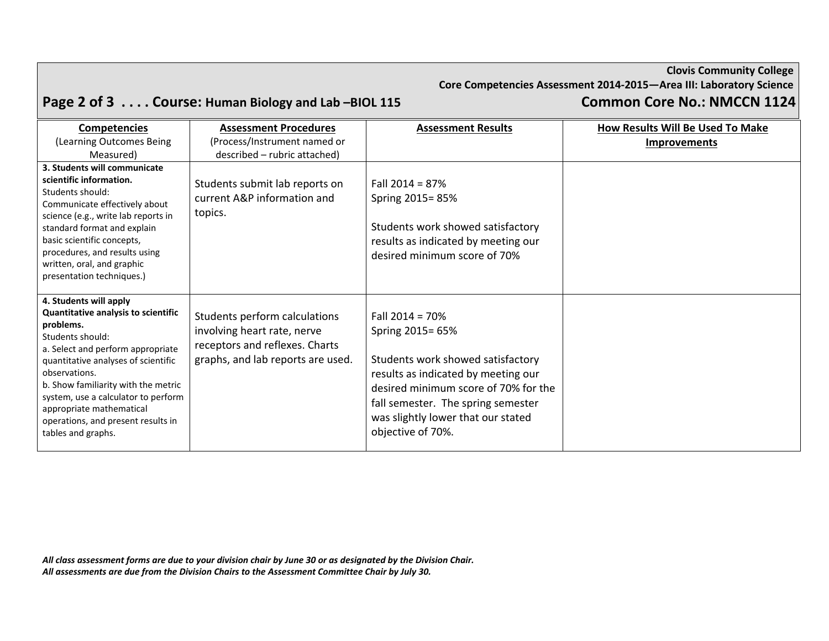# Page 2 of 3 . . . . Course: Human Biology and Lab-BIOL 115

| <b>Common Core No.: NMCCN 1124</b> |  |  |
|------------------------------------|--|--|
|------------------------------------|--|--|

| <b>Competencies</b>                                                                                                                                                                                                                                                                                                                                               | <b>Assessment Procedures</b>                                                                                                        | <b>Assessment Results</b>                                                                                                                                                                                                                                  | How Results Will Be Used To Make |
|-------------------------------------------------------------------------------------------------------------------------------------------------------------------------------------------------------------------------------------------------------------------------------------------------------------------------------------------------------------------|-------------------------------------------------------------------------------------------------------------------------------------|------------------------------------------------------------------------------------------------------------------------------------------------------------------------------------------------------------------------------------------------------------|----------------------------------|
| (Learning Outcomes Being                                                                                                                                                                                                                                                                                                                                          | (Process/Instrument named or                                                                                                        |                                                                                                                                                                                                                                                            | <b>Improvements</b>              |
| Measured)                                                                                                                                                                                                                                                                                                                                                         | described - rubric attached)                                                                                                        |                                                                                                                                                                                                                                                            |                                  |
| 3. Students will communicate<br>scientific information.<br>Students should:<br>Communicate effectively about<br>science (e.g., write lab reports in<br>standard format and explain<br>basic scientific concepts,<br>procedures, and results using<br>written, oral, and graphic<br>presentation techniques.)                                                      | Students submit lab reports on<br>current A&P information and<br>topics.                                                            | Fall $2014 = 87%$<br>Spring 2015=85%<br>Students work showed satisfactory<br>results as indicated by meeting our<br>desired minimum score of 70%                                                                                                           |                                  |
| 4. Students will apply<br>Quantitative analysis to scientific<br>problems.<br>Students should:<br>a. Select and perform appropriate<br>quantitative analyses of scientific<br>observations.<br>b. Show familiarity with the metric<br>system, use a calculator to perform<br>appropriate mathematical<br>operations, and present results in<br>tables and graphs. | Students perform calculations<br>involving heart rate, nerve<br>receptors and reflexes. Charts<br>graphs, and lab reports are used. | Fall $2014 = 70%$<br>Spring 2015= 65%<br>Students work showed satisfactory<br>results as indicated by meeting our<br>desired minimum score of 70% for the<br>fall semester. The spring semester<br>was slightly lower that our stated<br>objective of 70%. |                                  |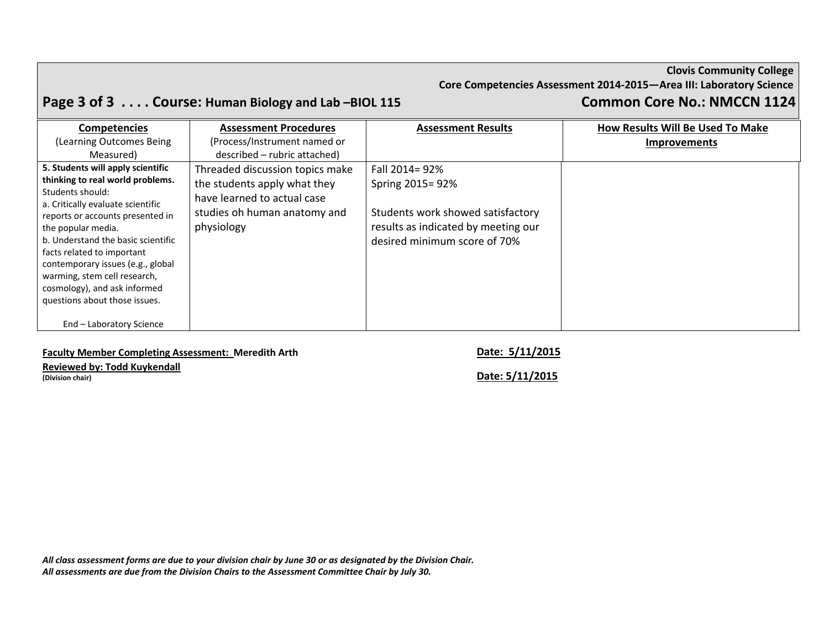# Page 3 of 3 . . . . Course: Human Biology and Lab -BIOL 115 Common Core No.: NMCCN 1124

| <b>Competencies</b>                                             | <b>Assessment Procedures</b>    | <b>Assessment Results</b>           | How Results Will Be Used To Make |
|-----------------------------------------------------------------|---------------------------------|-------------------------------------|----------------------------------|
| (Learning Outcomes Being                                        | (Process/Instrument named or    |                                     | <b>Improvements</b>              |
| Measured)                                                       | described – rubric attached)    |                                     |                                  |
| 5. Students will apply scientific                               | Threaded discussion topics make | Fall 2014= 92%                      |                                  |
| thinking to real world problems.<br>Students should:            | the students apply what they    | Spring 2015= 92%                    |                                  |
| a. Critically evaluate scientific                               | have learned to actual case     |                                     |                                  |
| reports or accounts presented in                                | studies oh human anatomy and    | Students work showed satisfactory   |                                  |
| the popular media.                                              | physiology                      | results as indicated by meeting our |                                  |
| b. Understand the basic scientific                              |                                 | desired minimum score of 70%        |                                  |
| facts related to important<br>contemporary issues (e.g., global |                                 |                                     |                                  |
| warming, stem cell research,                                    |                                 |                                     |                                  |
| cosmology), and ask informed                                    |                                 |                                     |                                  |
| questions about those issues.                                   |                                 |                                     |                                  |
| End - Laboratory Science                                        |                                 |                                     |                                  |

### **Faculty Member Completing Assessment: Meredith Arth Date: 5/11/2015**

### **Reviewed by: Todd Kuykendall**

**(Division chair) Date: 5/11/2015**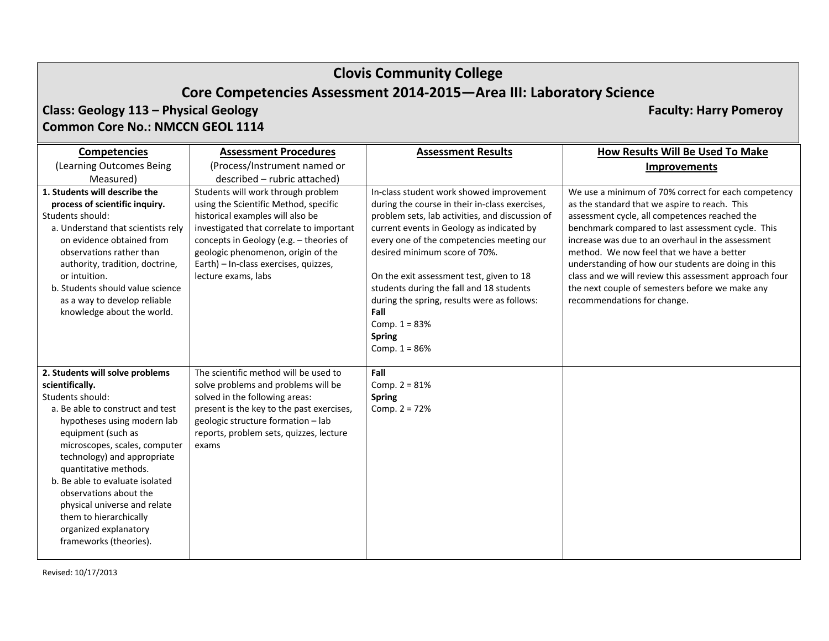### **Class: Geology 113 – Physical Geology Faculty: Harry Pomeroy Common Core No.: NMCCN GEOL 1114**

**Competencies** (Learning Outcomes Being Measured) **Assessment Procedures**(Process/Instrument named or described – rubric attached) **Assessment Results How Results Will Be Used To Make Improvements 1. Students will describe the process of scientific inquiry.** Students should: a. Understand that scientists rely on evidence obtained fromobservations rather thanauthority, tradition, doctrine, or intuition. b. Students should value science as a way to develop reliable knowledge about the world. Students will work through problem using the Scientific Method, specific historical examples will also be investigated that correlate to important concepts in Geology (e.g. – theories of geologic phenomenon, origin of the Earth) – In‐class exercises, quizzes, lecture exams, labs In‐class student work showed improvement during the course in their in‐class exercises, problem sets, lab activities, and discussion of current events in Geology as indicated by every one of the competencies meeting our desired minimum score of 70%. On the exit assessment test, given to 18 students during the fall and 18 students during the spring, results were as follows: **Fall**Comp.  $1 = 83%$ **Spring** Comp.  $1 = 86%$ We use <sup>a</sup> minimum of 70% correct for each competency as the standard that we aspire to reach. This assessment cycle, all competences reached the benchmark compared to last assessment cycle. This increase was due to an overhaul in the assessment method. We now feel that we have <sup>a</sup> better understanding of how our students are doing in this class and we will review this assessment approach four the next couple of semesters before we make any recommendations for change. **2. Students will solve problems scientifically.** Students should: a. Be able to construct and test hypotheses using modern lab equipment (such as microscopes, scales, computer technology) and appropriate quantitative methods. b. Be able to evaluate isolated observations about thephysical universe and relate them to hierarchically organized explanatory frameworks (theories). The scientific method will be used tosolve problems and problems will be solved in the following areas: present is the key to the past exercises, geologic structure formation – lab reports, problem sets, quizzes, lecture exams**Fall**Comp.  $2 = 81%$ **Spring** Comp.  $2 = 72%$ 

Revised: 10/17/2013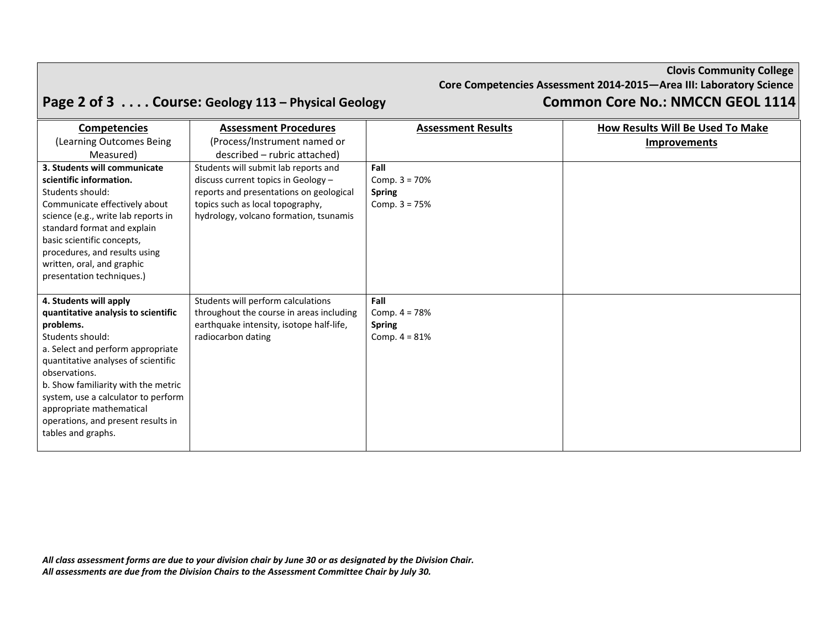### **Clovis Community College Core Competencies Assessment 2014‐2015—Area III: Laboratory Science** Page 2 of 3 . . . . Course: Geology 113 - Physical Geology Common Core No.: NMCCN GEOL 1114

| <b>Competencies</b>                 | <b>Assessment Procedures</b>                                   | <b>Assessment Results</b> | How Results Will Be Used To Make |
|-------------------------------------|----------------------------------------------------------------|---------------------------|----------------------------------|
| (Learning Outcomes Being            | (Process/Instrument named or                                   |                           | <b>Improvements</b>              |
| Measured)                           | described – rubric attached)                                   |                           |                                  |
| 3. Students will communicate        | Students will submit lab reports and                           | Fall                      |                                  |
| scientific information.             | discuss current topics in Geology -                            | Comp. $3 = 70%$           |                                  |
| Students should:                    | reports and presentations on geological                        | <b>Spring</b>             |                                  |
| Communicate effectively about       | topics such as local topography,                               | Comp. $3 = 75%$           |                                  |
| science (e.g., write lab reports in | hydrology, volcano formation, tsunamis                         |                           |                                  |
| standard format and explain         |                                                                |                           |                                  |
| basic scientific concepts,          |                                                                |                           |                                  |
| procedures, and results using       |                                                                |                           |                                  |
| written, oral, and graphic          |                                                                |                           |                                  |
| presentation techniques.)           |                                                                |                           |                                  |
|                                     |                                                                |                           |                                  |
| 4. Students will apply              | Students will perform calculations                             | Fall                      |                                  |
| quantitative analysis to scientific | throughout the course in areas including                       | Comp. $4 = 78%$           |                                  |
| problems.<br>Students should:       | earthquake intensity, isotope half-life,<br>radiocarbon dating | <b>Spring</b>             |                                  |
| a. Select and perform appropriate   |                                                                | Comp. $4 = 81%$           |                                  |
| quantitative analyses of scientific |                                                                |                           |                                  |
| observations.                       |                                                                |                           |                                  |
| b. Show familiarity with the metric |                                                                |                           |                                  |
| system, use a calculator to perform |                                                                |                           |                                  |
| appropriate mathematical            |                                                                |                           |                                  |
| operations, and present results in  |                                                                |                           |                                  |
| tables and graphs.                  |                                                                |                           |                                  |
|                                     |                                                                |                           |                                  |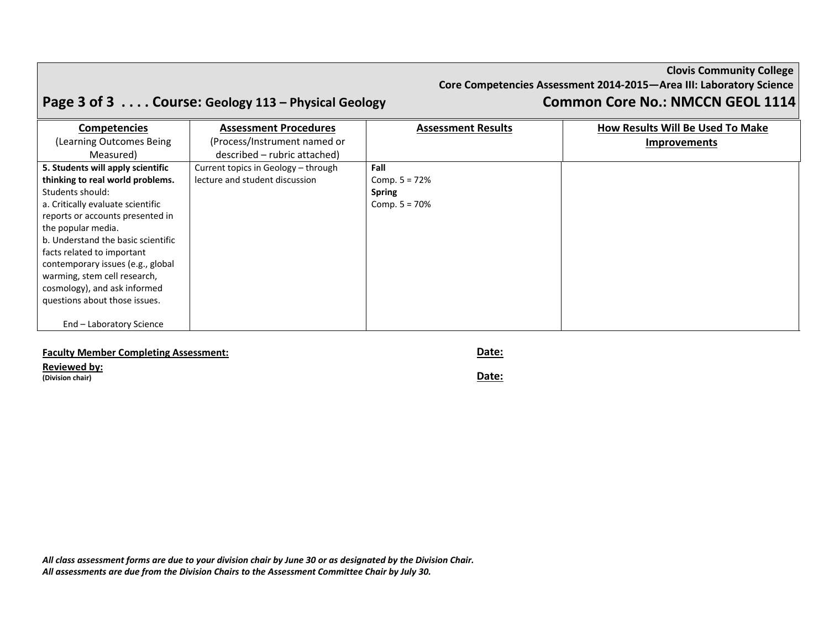### **Clovis Community College Core Competencies Assessment 2014‐2015—Area III: Laboratory Science** Page 3 of 3 . . . . Course: Geology 113 - Physical Geology Common Core No.: NMCCN GEOL 1114

| <b>Competencies</b>                | <b>Assessment Procedures</b>        | <b>Assessment Results</b> | How Results Will Be Used To Make |
|------------------------------------|-------------------------------------|---------------------------|----------------------------------|
| (Learning Outcomes Being)          | (Process/Instrument named or        |                           | <b>Improvements</b>              |
| Measured)                          | described – rubric attached)        |                           |                                  |
| 5. Students will apply scientific  | Current topics in Geology - through | Fall                      |                                  |
| thinking to real world problems.   | lecture and student discussion      | Comp. $5 = 72%$           |                                  |
| Students should:                   |                                     | <b>Spring</b>             |                                  |
| a. Critically evaluate scientific  |                                     | Comp. $5 = 70%$           |                                  |
| reports or accounts presented in   |                                     |                           |                                  |
| the popular media.                 |                                     |                           |                                  |
| b. Understand the basic scientific |                                     |                           |                                  |
| facts related to important         |                                     |                           |                                  |
| contemporary issues (e.g., global  |                                     |                           |                                  |
| warming, stem cell research,       |                                     |                           |                                  |
| cosmology), and ask informed       |                                     |                           |                                  |
| questions about those issues.      |                                     |                           |                                  |
|                                    |                                     |                           |                                  |
| End - Laboratory Science           |                                     |                           |                                  |

### **Faculty Member Completing Assessment: Date:**

**Reviewed by:**

**(Division chair) Date:**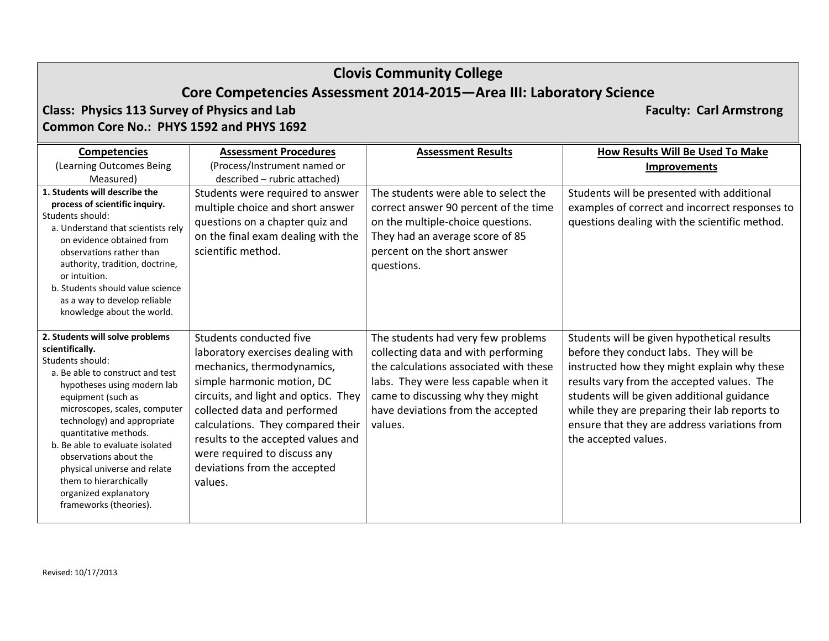## **Core Competencies Assessment 2014‐2015—Area III: Laboratory Science**

### **Class: Physics 113 Survey of Physics and Lab Faculty: Carl Armstrong Common Core No.: PHYS 1592 and PHYS 1692**

**Competencies** (Learning Outcomes Being Measured) **Assessment Procedures**(Process/Instrument named or described – rubric attached) **Assessment Results How Results Will Be Used To Make Improvements 1. Students will describe the process of scientific inquiry.** Students should: a. Understand that scientists rely on evidence obtained fromobservations rather thanauthority, tradition, doctrine, or intuition. b. Students should value science as a way to develop reliable knowledge about the world. Students were required to answer multiple choice and short answer questions on <sup>a</sup> chapter quiz and on the final exam dealing with the scientific method. The students were able to select the correct answer 90 percent of the time on the multiple‐choice questions. They had an average score of 85 percent on the short answer questions. Students will be presented with additional examples of correct and incorrect responses to questions dealing with the scientific method. **2. Students will solve problems scientifically.** Students should: a. Be able to construct and test hypotheses using modern lab equipment (such as microscopes, scales, computer technology) and appropriate quantitative methods. b. Be able to evaluate isolated observations about thephysical universe and relate them to hierarchically organized explanatory frameworks (theories). Students conducted five laboratory exercises dealing with mechanics, thermodynamics, simple harmonic motion, DC circuits, and light and optics. They collected data and performed calculations. They compared their results to the accepted values and were required to discuss any deviations from the accepted values.The students had very few problems collecting data and with performing the calculations associated with these labs. They were less capable when it came to discussing why they might have deviations from the accepted values.Students will be given hypothetical results before they conduct labs. They will be instructed how they might explain why these results vary from the accepted values. The students will be given additional guidance while they are preparing their lab reports to ensure that they are address variations from the accepted values.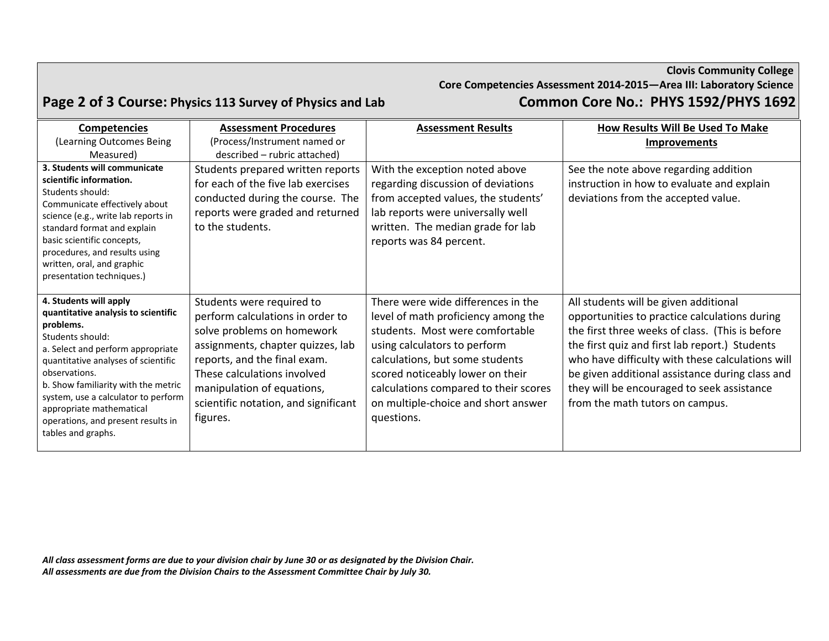**Clovis Community College Core Competencies Assessment 2014‐2015—Area III: Laboratory Science Page 2 of 3 Course: Physics <sup>113</sup> Survey of Physics and Lab Common Core No.: PHYS 1592/PHYS 1692**

| <b>Competencies</b>                                                                                                                                                                                                                                                                                                                                               | <b>Assessment Procedures</b>                                                                                                                                                                                                                                                      | <b>Assessment Results</b>                                                                                                                                                                                                                                                                                         | <b>How Results Will Be Used To Make</b>                                                                                                                                                                                                                                                                                                                                             |
|-------------------------------------------------------------------------------------------------------------------------------------------------------------------------------------------------------------------------------------------------------------------------------------------------------------------------------------------------------------------|-----------------------------------------------------------------------------------------------------------------------------------------------------------------------------------------------------------------------------------------------------------------------------------|-------------------------------------------------------------------------------------------------------------------------------------------------------------------------------------------------------------------------------------------------------------------------------------------------------------------|-------------------------------------------------------------------------------------------------------------------------------------------------------------------------------------------------------------------------------------------------------------------------------------------------------------------------------------------------------------------------------------|
| (Learning Outcomes Being                                                                                                                                                                                                                                                                                                                                          | (Process/Instrument named or                                                                                                                                                                                                                                                      |                                                                                                                                                                                                                                                                                                                   | <b>Improvements</b>                                                                                                                                                                                                                                                                                                                                                                 |
| Measured)                                                                                                                                                                                                                                                                                                                                                         | described - rubric attached)                                                                                                                                                                                                                                                      |                                                                                                                                                                                                                                                                                                                   |                                                                                                                                                                                                                                                                                                                                                                                     |
| 3. Students will communicate<br>scientific information.<br>Students should:<br>Communicate effectively about<br>science (e.g., write lab reports in<br>standard format and explain<br>basic scientific concepts,<br>procedures, and results using<br>written, oral, and graphic<br>presentation techniques.)                                                      | Students prepared written reports<br>for each of the five lab exercises<br>conducted during the course. The<br>reports were graded and returned<br>to the students.                                                                                                               | With the exception noted above<br>regarding discussion of deviations<br>from accepted values, the students'<br>lab reports were universally well<br>written. The median grade for lab<br>reports was 84 percent.                                                                                                  | See the note above regarding addition<br>instruction in how to evaluate and explain<br>deviations from the accepted value.                                                                                                                                                                                                                                                          |
| 4. Students will apply<br>quantitative analysis to scientific<br>problems.<br>Students should:<br>a. Select and perform appropriate<br>quantitative analyses of scientific<br>observations.<br>b. Show familiarity with the metric<br>system, use a calculator to perform<br>appropriate mathematical<br>operations, and present results in<br>tables and graphs. | Students were required to<br>perform calculations in order to<br>solve problems on homework<br>assignments, chapter quizzes, lab<br>reports, and the final exam.<br>These calculations involved<br>manipulation of equations,<br>scientific notation, and significant<br>figures. | There were wide differences in the<br>level of math proficiency among the<br>students. Most were comfortable<br>using calculators to perform<br>calculations, but some students<br>scored noticeably lower on their<br>calculations compared to their scores<br>on multiple-choice and short answer<br>questions. | All students will be given additional<br>opportunities to practice calculations during<br>the first three weeks of class. (This is before<br>the first quiz and first lab report.) Students<br>who have difficulty with these calculations will<br>be given additional assistance during class and<br>they will be encouraged to seek assistance<br>from the math tutors on campus. |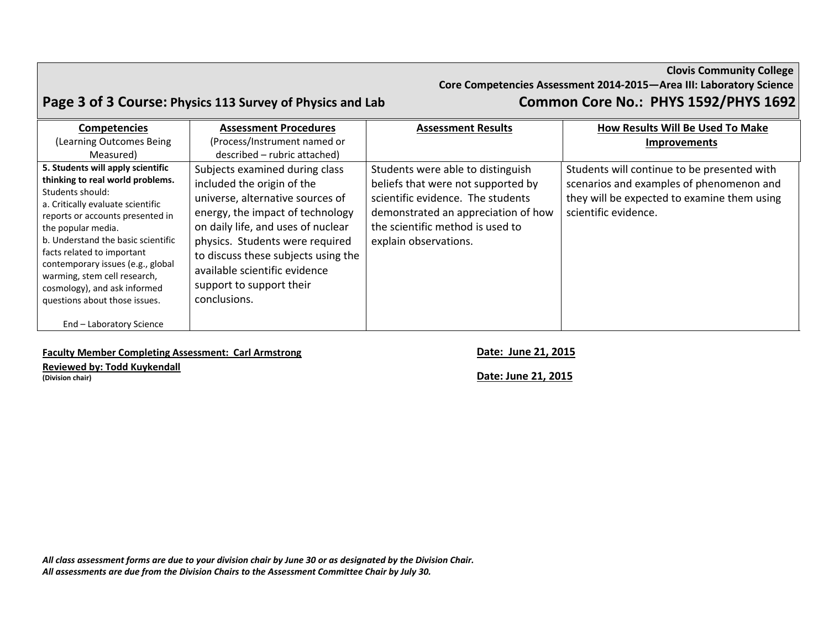### **Clovis Community College Core Competencies Assessment 2014‐2015—Area III: Laboratory Science Page 3 of 3 Course: Physics <sup>113</sup> Survey of Physics and Lab Common Core No.: PHYS 1592/PHYS 1692**

| <b>Competencies</b>                                                                                                                                                                                                                                                                                                                                                                                | <b>Assessment Procedures</b>                                                                                                                                                                                                                                                                                                      | <b>Assessment Results</b>                                                                                                                                                                                        | How Results Will Be Used To Make                                                                                                                               |
|----------------------------------------------------------------------------------------------------------------------------------------------------------------------------------------------------------------------------------------------------------------------------------------------------------------------------------------------------------------------------------------------------|-----------------------------------------------------------------------------------------------------------------------------------------------------------------------------------------------------------------------------------------------------------------------------------------------------------------------------------|------------------------------------------------------------------------------------------------------------------------------------------------------------------------------------------------------------------|----------------------------------------------------------------------------------------------------------------------------------------------------------------|
| (Learning Outcomes Being                                                                                                                                                                                                                                                                                                                                                                           | (Process/Instrument named or                                                                                                                                                                                                                                                                                                      |                                                                                                                                                                                                                  | <b>Improvements</b>                                                                                                                                            |
| Measured)                                                                                                                                                                                                                                                                                                                                                                                          | described - rubric attached)                                                                                                                                                                                                                                                                                                      |                                                                                                                                                                                                                  |                                                                                                                                                                |
| 5. Students will apply scientific<br>thinking to real world problems.<br>Students should:<br>a. Critically evaluate scientific<br>reports or accounts presented in<br>the popular media.<br>b. Understand the basic scientific<br>facts related to important<br>contemporary issues (e.g., global<br>warming, stem cell research,<br>cosmology), and ask informed<br>questions about those issues. | Subjects examined during class<br>included the origin of the<br>universe, alternative sources of<br>energy, the impact of technology<br>on daily life, and uses of nuclear<br>physics. Students were required<br>to discuss these subjects using the<br>available scientific evidence<br>support to support their<br>conclusions. | Students were able to distinguish<br>beliefs that were not supported by<br>scientific evidence. The students<br>demonstrated an appreciation of how<br>the scientific method is used to<br>explain observations. | Students will continue to be presented with<br>scenarios and examples of phenomenon and<br>they will be expected to examine them using<br>scientific evidence. |
| End - Laboratory Science                                                                                                                                                                                                                                                                                                                                                                           |                                                                                                                                                                                                                                                                                                                                   |                                                                                                                                                                                                                  |                                                                                                                                                                |

### **Faculty Member Completing Assessment: Carl Armstrong Date: June 21, 2015**

**Reviewed by: Todd Kuykendall**

**(Division chair) Date: June 21, 2015**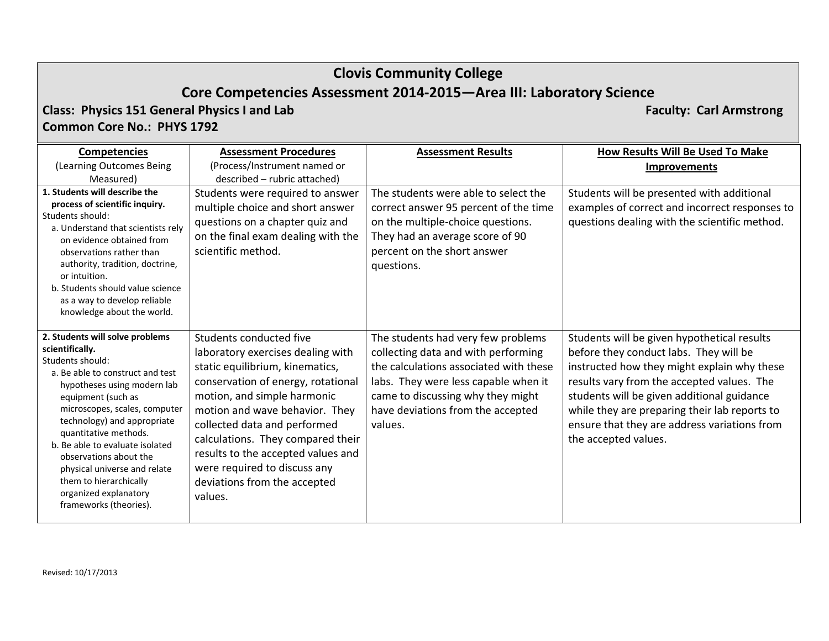## **Core Competencies Assessment 2014‐2015—Area III: Laboratory Science**

**Class: Physics 151 General Physics I and Lab Faculty: Carl Armstrong Common Core No.: PHYS 1792**

| <b>Competencies</b>                                                                                                                                                                                                                                                                                                                                                                                                                | <b>Assessment Procedures</b>                                                                                                                                                                                                                                                                                                                                                                 | <b>Assessment Results</b>                                                                                                                                                                                                                        | <b>How Results Will Be Used To Make</b>                                                                                                                                                                                                                                                                                                                   |
|------------------------------------------------------------------------------------------------------------------------------------------------------------------------------------------------------------------------------------------------------------------------------------------------------------------------------------------------------------------------------------------------------------------------------------|----------------------------------------------------------------------------------------------------------------------------------------------------------------------------------------------------------------------------------------------------------------------------------------------------------------------------------------------------------------------------------------------|--------------------------------------------------------------------------------------------------------------------------------------------------------------------------------------------------------------------------------------------------|-----------------------------------------------------------------------------------------------------------------------------------------------------------------------------------------------------------------------------------------------------------------------------------------------------------------------------------------------------------|
| (Learning Outcomes Being<br>Measured)                                                                                                                                                                                                                                                                                                                                                                                              | (Process/Instrument named or<br>described - rubric attached)                                                                                                                                                                                                                                                                                                                                 |                                                                                                                                                                                                                                                  | <b>Improvements</b>                                                                                                                                                                                                                                                                                                                                       |
| 1. Students will describe the<br>process of scientific inquiry.<br>Students should:<br>a. Understand that scientists rely<br>on evidence obtained from<br>observations rather than<br>authority, tradition, doctrine,<br>or intuition.<br>b. Students should value science<br>as a way to develop reliable<br>knowledge about the world.                                                                                           | Students were required to answer<br>multiple choice and short answer<br>questions on a chapter quiz and<br>on the final exam dealing with the<br>scientific method.                                                                                                                                                                                                                          | The students were able to select the<br>correct answer 95 percent of the time<br>on the multiple-choice questions.<br>They had an average score of 90<br>percent on the short answer<br>questions.                                               | Students will be presented with additional<br>examples of correct and incorrect responses to<br>questions dealing with the scientific method.                                                                                                                                                                                                             |
| 2. Students will solve problems<br>scientifically.<br>Students should:<br>a. Be able to construct and test<br>hypotheses using modern lab<br>equipment (such as<br>microscopes, scales, computer<br>technology) and appropriate<br>quantitative methods.<br>b. Be able to evaluate isolated<br>observations about the<br>physical universe and relate<br>them to hierarchically<br>organized explanatory<br>frameworks (theories). | Students conducted five<br>laboratory exercises dealing with<br>static equilibrium, kinematics,<br>conservation of energy, rotational<br>motion, and simple harmonic<br>motion and wave behavior. They<br>collected data and performed<br>calculations. They compared their<br>results to the accepted values and<br>were required to discuss any<br>deviations from the accepted<br>values. | The students had very few problems<br>collecting data and with performing<br>the calculations associated with these<br>labs. They were less capable when it<br>came to discussing why they might<br>have deviations from the accepted<br>values. | Students will be given hypothetical results<br>before they conduct labs. They will be<br>instructed how they might explain why these<br>results vary from the accepted values. The<br>students will be given additional guidance<br>while they are preparing their lab reports to<br>ensure that they are address variations from<br>the accepted values. |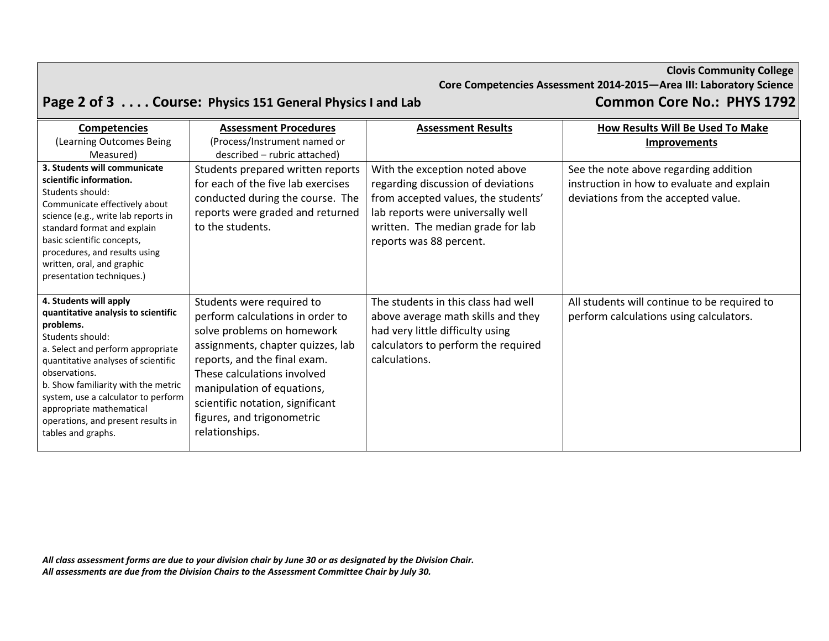**Core Competencies Assessment 2014‐2015—Area III: Laboratory Science**

# Page 2 of 3 . . . . Course: Physics 151 General Physics I and Lab Common Core No.: PHYS 1792

| <b>Competencies</b>                                                                                                                                                                                                                                                                                                                                               | <b>Assessment Procedures</b>                                                                                                                                                                                                                                                                                      | <b>Assessment Results</b>                                                                                                                                                                                        | How Results Will Be Used To Make                                                                                           |
|-------------------------------------------------------------------------------------------------------------------------------------------------------------------------------------------------------------------------------------------------------------------------------------------------------------------------------------------------------------------|-------------------------------------------------------------------------------------------------------------------------------------------------------------------------------------------------------------------------------------------------------------------------------------------------------------------|------------------------------------------------------------------------------------------------------------------------------------------------------------------------------------------------------------------|----------------------------------------------------------------------------------------------------------------------------|
| (Learning Outcomes Being                                                                                                                                                                                                                                                                                                                                          | (Process/Instrument named or                                                                                                                                                                                                                                                                                      |                                                                                                                                                                                                                  | <b>Improvements</b>                                                                                                        |
| Measured)                                                                                                                                                                                                                                                                                                                                                         | described – rubric attached)                                                                                                                                                                                                                                                                                      |                                                                                                                                                                                                                  |                                                                                                                            |
| 3. Students will communicate<br>scientific information.<br>Students should:<br>Communicate effectively about<br>science (e.g., write lab reports in<br>standard format and explain<br>basic scientific concepts,<br>procedures, and results using<br>written, oral, and graphic<br>presentation techniques.)                                                      | Students prepared written reports<br>for each of the five lab exercises<br>conducted during the course. The<br>reports were graded and returned<br>to the students.                                                                                                                                               | With the exception noted above<br>regarding discussion of deviations<br>from accepted values, the students'<br>lab reports were universally well<br>written. The median grade for lab<br>reports was 88 percent. | See the note above regarding addition<br>instruction in how to evaluate and explain<br>deviations from the accepted value. |
| 4. Students will apply<br>quantitative analysis to scientific<br>problems.<br>Students should:<br>a. Select and perform appropriate<br>quantitative analyses of scientific<br>observations.<br>b. Show familiarity with the metric<br>system, use a calculator to perform<br>appropriate mathematical<br>operations, and present results in<br>tables and graphs. | Students were required to<br>perform calculations in order to<br>solve problems on homework<br>assignments, chapter quizzes, lab<br>reports, and the final exam.<br>These calculations involved<br>manipulation of equations,<br>scientific notation, significant<br>figures, and trigonometric<br>relationships. | The students in this class had well<br>above average math skills and they<br>had very little difficulty using<br>calculators to perform the required<br>calculations.                                            | All students will continue to be required to<br>perform calculations using calculators.                                    |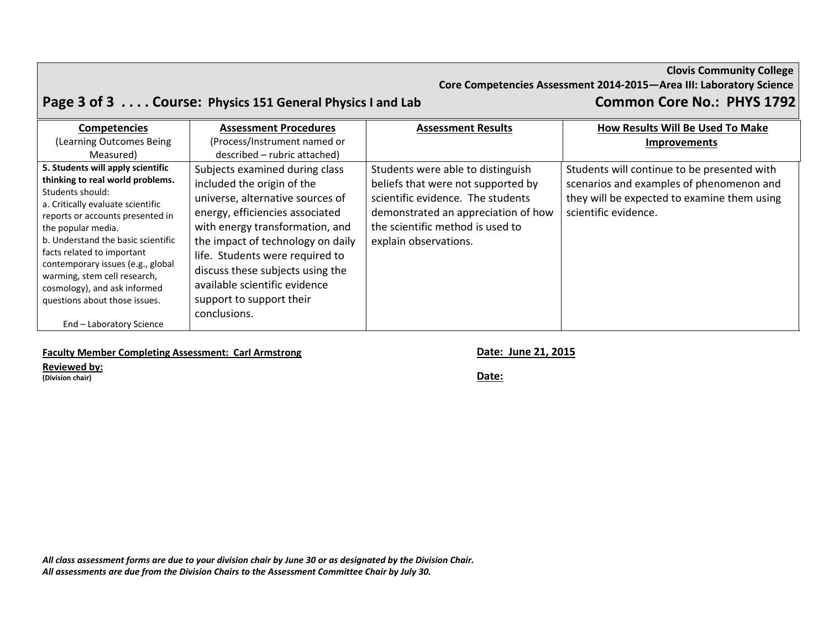**Core Competencies Assessment 2014‐2015—Area III: Laboratory Science**

# Page 3 of 3 . . . . Course: Physics 151 General Physics I and Lab Common Core No.: PHYS 1792

| <b>Competencies</b>                                                                                                                                                                                                            | <b>Assessment Procedures</b>                                                                                                                                                                                | <b>Assessment Results</b>                                                                                                                                                                                        | How Results Will Be Used To Make                                                                                                                               |
|--------------------------------------------------------------------------------------------------------------------------------------------------------------------------------------------------------------------------------|-------------------------------------------------------------------------------------------------------------------------------------------------------------------------------------------------------------|------------------------------------------------------------------------------------------------------------------------------------------------------------------------------------------------------------------|----------------------------------------------------------------------------------------------------------------------------------------------------------------|
| (Learning Outcomes Being                                                                                                                                                                                                       | (Process/Instrument named or                                                                                                                                                                                |                                                                                                                                                                                                                  | Improvements                                                                                                                                                   |
| Measured)                                                                                                                                                                                                                      | described - rubric attached)                                                                                                                                                                                |                                                                                                                                                                                                                  |                                                                                                                                                                |
| 5. Students will apply scientific<br>thinking to real world problems.<br>Students should:<br>a. Critically evaluate scientific<br>reports or accounts presented in<br>the popular media.<br>b. Understand the basic scientific | Subjects examined during class<br>included the origin of the<br>universe, alternative sources of<br>energy, efficiencies associated<br>with energy transformation, and<br>the impact of technology on daily | Students were able to distinguish<br>beliefs that were not supported by<br>scientific evidence. The students<br>demonstrated an appreciation of how<br>the scientific method is used to<br>explain observations. | Students will continue to be presented with<br>scenarios and examples of phenomenon and<br>they will be expected to examine them using<br>scientific evidence. |
| facts related to important<br>contemporary issues (e.g., global<br>warming, stem cell research,<br>cosmology), and ask informed<br>questions about those issues.<br>End - Laboratory Science                                   | life. Students were required to<br>discuss these subjects using the<br>available scientific evidence<br>support to support their<br>conclusions.                                                            |                                                                                                                                                                                                                  |                                                                                                                                                                |

### **Faculty Member Completing Assessment: Carl Armstrong Date: June 21, 2015**

### **Reviewed by:**

**(Division chair) Date:**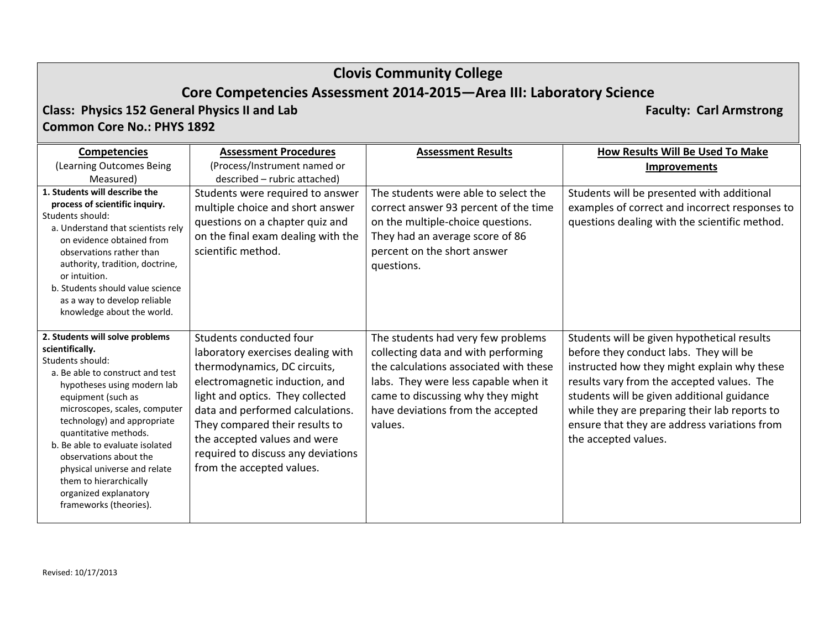## **Core Competencies Assessment 2014‐2015—Area III: Laboratory Science**

**Class: Physics 152 General Physics II and Lab Faculty: Carl Armstrong Common Core No.: PHYS 1892**

**Competencies** (Learning Outcomes Being Measured) **Assessment Procedures**(Process/Instrument named or described – rubric attached) **Assessment Results How Results Will Be Used To Make Improvements 1. Students will describe the process of scientific inquiry.** Students should: a. Understand that scientists rely on evidence obtained fromobservations rather thanauthority, tradition, doctrine, or intuition. b. Students should value science as a way to develop reliable knowledge about the world. Students were required to answer multiple choice and short answer questions on <sup>a</sup> chapter quiz and on the final exam dealing with the scientific method. The students were able to select the correct answer 93 percent of the time on the multiple‐choice questions. They had an average score of 86 percent on the short answer questions. Students will be presented with additional examples of correct and incorrect responses to questions dealing with the scientific method. **2. Students will solve problems scientifically.** Students should: a. Be able to construct and test hypotheses using modern lab equipment (such as microscopes, scales, computer technology) and appropriate quantitative methods. b. Be able to evaluate isolated observations about thephysical universe and relate them to hierarchically organized explanatory frameworks (theories). Students conducted four laboratory exercises dealing with thermodynamics, DC circuits, electromagnetic induction, and light and optics. They collected data and performed calculations. They compared their results to the accepted values and were required to discuss any deviations from the accepted values. The students had very few problems collecting data and with performing the calculations associated with these labs. They were less capable when it came to discussing why they might have deviations from the accepted values.Students will be given hypothetical results before they conduct labs. They will be instructed how they might explain why these results vary from the accepted values. The students will be given additional guidance while they are preparing their lab reports to ensure that they are address variations from the accepted values.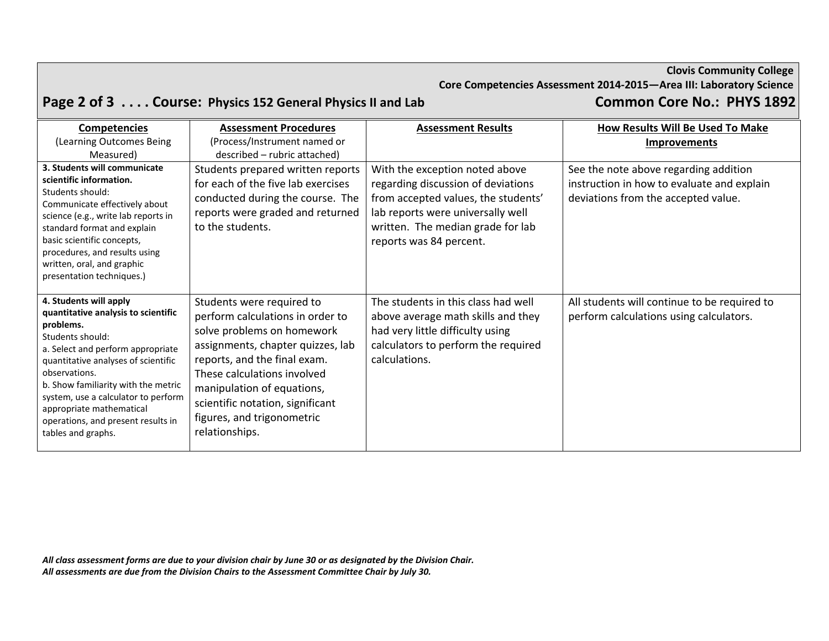**Core Competencies Assessment 2014‐2015—Area III: Laboratory Science**

# Page 2 of 3 . . . . Course: Physics 152 General Physics II and Lab Common Core No.: PHYS 1892

| <b>Competencies</b>                                                                                                                                                                                                                                                                                                                                               | <b>Assessment Procedures</b>                                                                                                                                                                                                                                                                                      | <b>Assessment Results</b>                                                                                                                                                                                        | How Results Will Be Used To Make                                                                                           |
|-------------------------------------------------------------------------------------------------------------------------------------------------------------------------------------------------------------------------------------------------------------------------------------------------------------------------------------------------------------------|-------------------------------------------------------------------------------------------------------------------------------------------------------------------------------------------------------------------------------------------------------------------------------------------------------------------|------------------------------------------------------------------------------------------------------------------------------------------------------------------------------------------------------------------|----------------------------------------------------------------------------------------------------------------------------|
| (Learning Outcomes Being                                                                                                                                                                                                                                                                                                                                          | (Process/Instrument named or                                                                                                                                                                                                                                                                                      |                                                                                                                                                                                                                  | <b>Improvements</b>                                                                                                        |
| Measured)                                                                                                                                                                                                                                                                                                                                                         | described – rubric attached)                                                                                                                                                                                                                                                                                      |                                                                                                                                                                                                                  |                                                                                                                            |
| 3. Students will communicate<br>scientific information.<br>Students should:<br>Communicate effectively about<br>science (e.g., write lab reports in<br>standard format and explain<br>basic scientific concepts,<br>procedures, and results using<br>written, oral, and graphic<br>presentation techniques.)                                                      | Students prepared written reports<br>for each of the five lab exercises<br>conducted during the course. The<br>reports were graded and returned<br>to the students.                                                                                                                                               | With the exception noted above<br>regarding discussion of deviations<br>from accepted values, the students'<br>lab reports were universally well<br>written. The median grade for lab<br>reports was 84 percent. | See the note above regarding addition<br>instruction in how to evaluate and explain<br>deviations from the accepted value. |
| 4. Students will apply<br>quantitative analysis to scientific<br>problems.<br>Students should:<br>a. Select and perform appropriate<br>quantitative analyses of scientific<br>observations.<br>b. Show familiarity with the metric<br>system, use a calculator to perform<br>appropriate mathematical<br>operations, and present results in<br>tables and graphs. | Students were required to<br>perform calculations in order to<br>solve problems on homework<br>assignments, chapter quizzes, lab<br>reports, and the final exam.<br>These calculations involved<br>manipulation of equations,<br>scientific notation, significant<br>figures, and trigonometric<br>relationships. | The students in this class had well<br>above average math skills and they<br>had very little difficulty using<br>calculators to perform the required<br>calculations.                                            | All students will continue to be required to<br>perform calculations using calculators.                                    |